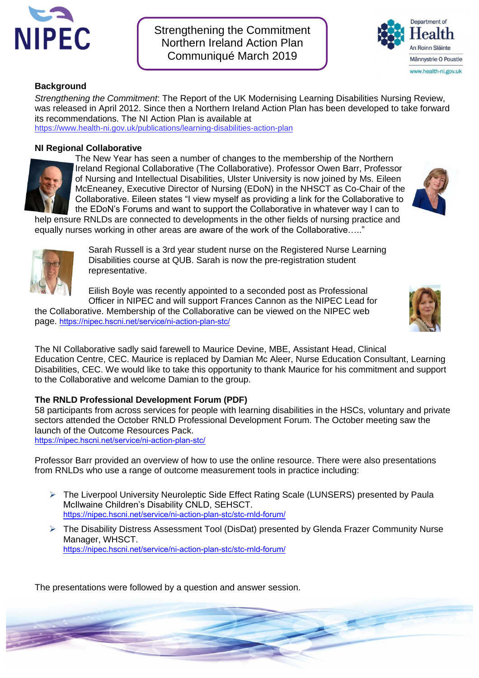

Strengthening the Commitment Northern Ireland Action Plan Communiqué March 2019



## **Background**

*Strengthening the Commitment*: The Report of the UK Modernising Learning Disabilities Nursing Review, was released in April 2012. Since then a Northern Ireland Action Plan has been developed to take forward its recommendations. The NI Action Plan is available at <https://www.health-ni.gov.uk/publications/learning-disabilities-action-plan>

## **NI Regional Collaborative**



The New Year has seen a number of changes to the membership of the Northern Ireland Regional Collaborative (The Collaborative). Professor Owen Barr, Professor of Nursing and Intellectual Disabilities, Ulster University is now joined by Ms. Eileen McEneaney, Executive Director of Nursing (EDoN) in the NHSCT as Co-Chair of the Collaborative. Eileen states "I view myself as providing a link for the Collaborative to the EDoN's Forums and want to support the Collaborative in whatever way I can to

help ensure RNLDs are connected to developments in the other fields of nursing practice and equally nurses working in other areas are aware of the work of the Collaborative….."



Sarah Russell is a 3rd year student nurse on the Registered Nurse Learning Disabilities course at QUB. Sarah is now the pre-registration student representative.

Eilish Boyle was recently appointed to a seconded post as Professional Officer in NIPEC and will support Frances Cannon as the NIPEC Lead for

the Collaborative. Membership of the Collaborative can be viewed on the NIPEC web page. <https://nipec.hscni.net/service/ni-action-plan-stc/>

The NI Collaborative sadly said farewell to Maurice Devine, MBE, Assistant Head, Clinical Education Centre, CEC. Maurice is replaced by Damian Mc Aleer, Nurse Education Consultant, Learning Disabilities, CEC. We would like to take this opportunity to thank Maurice for his commitment and support to the Collaborative and welcome Damian to the group.

## **The RNLD Professional Development Forum (PDF)**

58 participants from across services for people with learning disabilities in the HSCs, voluntary and private sectors attended the October RNLD Professional Development Forum. The October meeting saw the launch of the Outcome Resources Pack.

<https://nipec.hscni.net/service/ni-action-plan-stc/>

Professor Barr provided an overview of how to use the online resource. There were also presentations from RNLDs who use a range of outcome measurement tools in practice including:

- The Liverpool University Neuroleptic Side Effect Rating Scale (LUNSERS) presented by Paula McIlwaine Children's Disability CNLD, SEHSCT. <https://nipec.hscni.net/service/ni-action-plan-stc/stc-rnld-forum/>
- The Disability Distress Assessment Tool (DisDat) presented by Glenda Frazer Community Nurse Manager, WHSCT. <https://nipec.hscni.net/service/ni-action-plan-stc/stc-rnld-forum/>

 $\blacktriangleright$ 

The presentations were followed by a question and answer session.